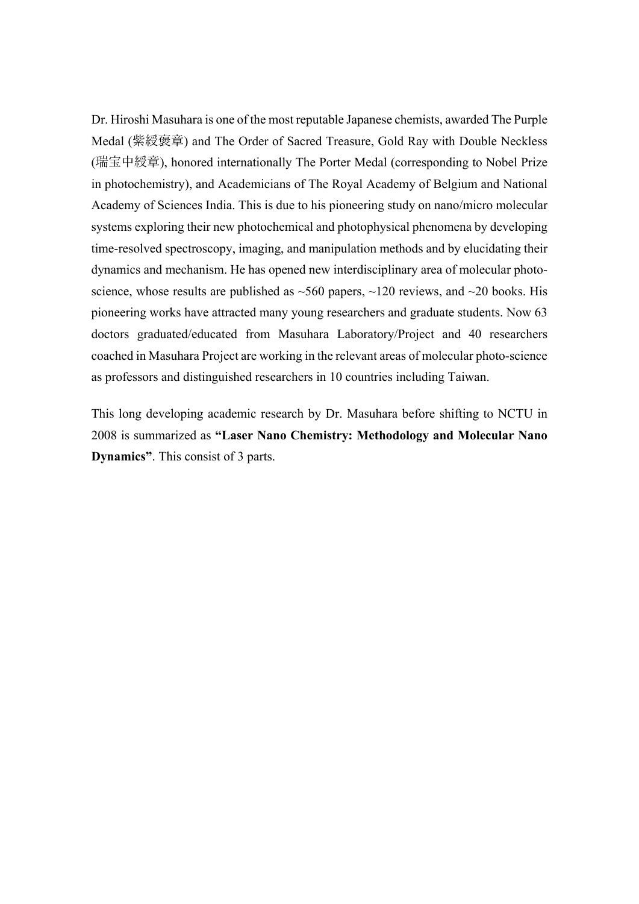Dr. Hiroshi Masuhara is one of the most reputable Japanese chemists, awarded The Purple Medal (紫綬褒章) and The Order of Sacred Treasure, Gold Ray with Double Neckless (瑞宝中綬章), honored internationally The Porter Medal (corresponding to Nobel Prize in photochemistry), and Academicians of The Royal Academy of Belgium and National Academy of Sciences India. This is due to his pioneering study on nano/micro molecular systems exploring their new photochemical and photophysical phenomena by developing time-resolved spectroscopy, imaging, and manipulation methods and by elucidating their dynamics and mechanism. He has opened new interdisciplinary area of molecular photoscience, whose results are published as  $\sim$ 560 papers,  $\sim$ 120 reviews, and  $\sim$ 20 books. His pioneering works have attracted many young researchers and graduate students. Now 63 doctors graduated/educated from Masuhara Laboratory/Project and 40 researchers coached in Masuhara Project are working in the relevant areas of molecular photo-science as professors and distinguished researchers in 10 countries including Taiwan.

This long developing academic research by Dr. Masuhara before shifting to NCTU in 2008 is summarized as **"Laser Nano Chemistry: Methodology and Molecular Nano Dynamics"**. This consist of 3 parts.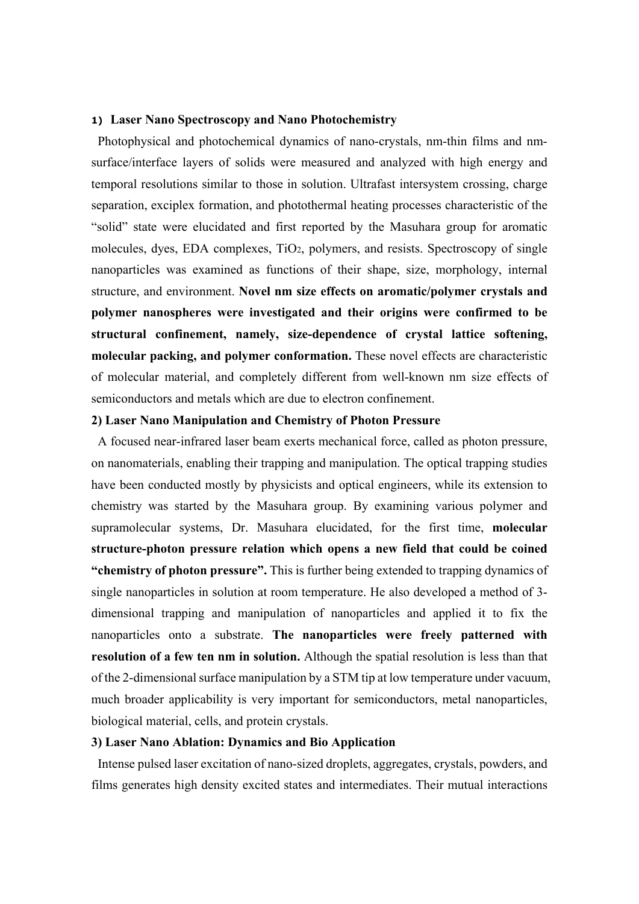#### **1) Laser Nano Spectroscopy and Nano Photochemistry**

Photophysical and photochemical dynamics of nano-crystals, nm-thin films and nmsurface/interface layers of solids were measured and analyzed with high energy and temporal resolutions similar to those in solution. Ultrafast intersystem crossing, charge separation, exciplex formation, and photothermal heating processes characteristic of the "solid" state were elucidated and first reported by the Masuhara group for aromatic molecules, dyes, EDA complexes, TiO2, polymers, and resists. Spectroscopy of single nanoparticles was examined as functions of their shape, size, morphology, internal structure, and environment. **Novel nm size effects on aromatic/polymer crystals and polymer nanospheres were investigated and their origins were confirmed to be structural confinement, namely, size-dependence of crystal lattice softening, molecular packing, and polymer conformation.** These novel effects are characteristic of molecular material, and completely different from well-known nm size effects of semiconductors and metals which are due to electron confinement.

#### **2) Laser Nano Manipulation and Chemistry of Photon Pressure**

 A focused near-infrared laser beam exerts mechanical force, called as photon pressure, on nanomaterials, enabling their trapping and manipulation. The optical trapping studies have been conducted mostly by physicists and optical engineers, while its extension to chemistry was started by the Masuhara group. By examining various polymer and supramolecular systems, Dr. Masuhara elucidated, for the first time, **molecular structure-photon pressure relation which opens a new field that could be coined "chemistry of photon pressure".** This is further being extended to trapping dynamics of single nanoparticles in solution at room temperature. He also developed a method of 3 dimensional trapping and manipulation of nanoparticles and applied it to fix the nanoparticles onto a substrate. **The nanoparticles were freely patterned with resolution of a few ten nm in solution.** Although the spatial resolution is less than that of the 2-dimensional surface manipulation by a STM tip at low temperature under vacuum, much broader applicability is very important for semiconductors, metal nanoparticles, biological material, cells, and protein crystals.

### **3) Laser Nano Ablation: Dynamics and Bio Application**

 Intense pulsed laser excitation of nano-sized droplets, aggregates, crystals, powders, and films generates high density excited states and intermediates. Their mutual interactions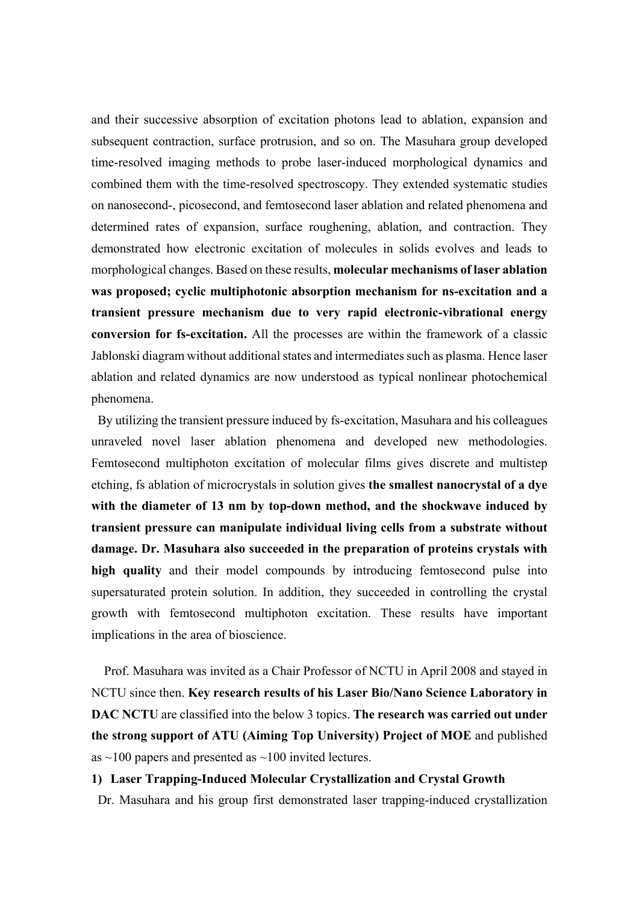and their successive absorption of excitation photons lead to ablation, expansion and subsequent contraction, surface protrusion, and so on. The Masuhara group developed time-resolved imaging methods to probe laser-induced morphological dynamics and combined them with the time-resolved spectroscopy. They extended systematic studies on nanosecond-, picosecond, and femtosecond laser ablation and related phenomena and determined rates of expansion, surface roughening, ablation, and contraction. They demonstrated how electronic excitation of molecules in solids evolves and leads to morphological changes. Based on these results, **molecular mechanisms of laser ablation was proposed; cyclic multiphotonic absorption mechanism for ns-excitation and a transient pressure mechanism due to very rapid electronic-vibrational energy conversion for fs-excitation.** All the processes are within the framework of a classic Jablonski diagram without additional states and intermediates such as plasma. Hence laser ablation and related dynamics are now understood as typical nonlinear photochemical phenomena.

 By utilizing the transient pressure induced by fs-excitation, Masuhara and his colleagues unraveled novel laser ablation phenomena and developed new methodologies. Femtosecond multiphoton excitation of molecular films gives discrete and multistep etching, fs ablation of microcrystals in solution gives **the smallest nanocrystal of a dye with the diameter of 13 nm by top-down method, and the shockwave induced by transient pressure can manipulate individual living cells from a substrate without damage. Dr. Masuhara also succeeded in the preparation of proteins crystals with high quality** and their model compounds by introducing femtosecond pulse into supersaturated protein solution. In addition, they succeeded in controlling the crystal growth with femtosecond multiphoton excitation. These results have important implications in the area of bioscience.

Prof. Masuhara was invited as a Chair Professor of NCTU in April 2008 and stayed in NCTU since then. **Key research results of his Laser Bio/Nano Science Laboratory in DAC NCTU** are classified into the below 3 topics. **The research was carried out under the strong support of ATU (Aiming Top University) Project of MOE** and published as  $\sim$ 100 papers and presented as  $\sim$ 100 invited lectures.

#### **1) Laser Trapping-Induced Molecular Crystallization and Crystal Growth**

Dr. Masuhara and his group first demonstrated laser trapping-induced crystallization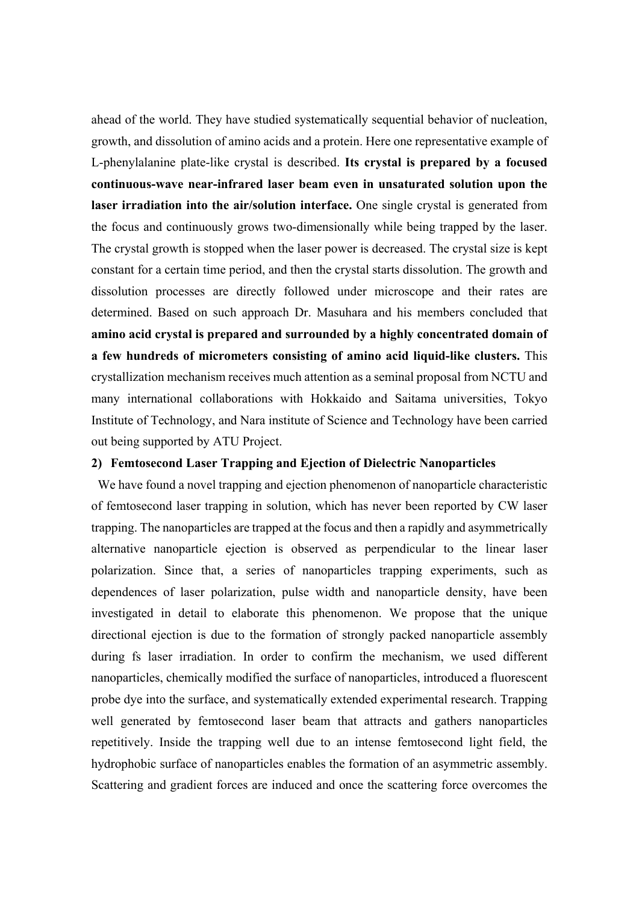ahead of the world. They have studied systematically sequential behavior of nucleation, growth, and dissolution of amino acids and a protein. Here one representative example of L-phenylalanine plate-like crystal is described. **Its crystal is prepared by a focused continuous-wave near-infrared laser beam even in unsaturated solution upon the laser irradiation into the air/solution interface.** One single crystal is generated from the focus and continuously grows two-dimensionally while being trapped by the laser. The crystal growth is stopped when the laser power is decreased. The crystal size is kept constant for a certain time period, and then the crystal starts dissolution. The growth and dissolution processes are directly followed under microscope and their rates are determined. Based on such approach Dr. Masuhara and his members concluded that **amino acid crystal is prepared and surrounded by a highly concentrated domain of a few hundreds of micrometers consisting of amino acid liquid-like clusters.** This crystallization mechanism receives much attention as a seminal proposal from NCTU and many international collaborations with Hokkaido and Saitama universities, Tokyo Institute of Technology, and Nara institute of Science and Technology have been carried out being supported by ATU Project.

## **2) Femtosecond Laser Trapping and Ejection of Dielectric Nanoparticles**

We have found a novel trapping and ejection phenomenon of nanoparticle characteristic of femtosecond laser trapping in solution, which has never been reported by CW laser trapping. The nanoparticles are trapped at the focus and then a rapidly and asymmetrically alternative nanoparticle ejection is observed as perpendicular to the linear laser polarization. Since that, a series of nanoparticles trapping experiments, such as dependences of laser polarization, pulse width and nanoparticle density, have been investigated in detail to elaborate this phenomenon. We propose that the unique directional ejection is due to the formation of strongly packed nanoparticle assembly during fs laser irradiation. In order to confirm the mechanism, we used different nanoparticles, chemically modified the surface of nanoparticles, introduced a fluorescent probe dye into the surface, and systematically extended experimental research. Trapping well generated by femtosecond laser beam that attracts and gathers nanoparticles repetitively. Inside the trapping well due to an intense femtosecond light field, the hydrophobic surface of nanoparticles enables the formation of an asymmetric assembly. Scattering and gradient forces are induced and once the scattering force overcomes the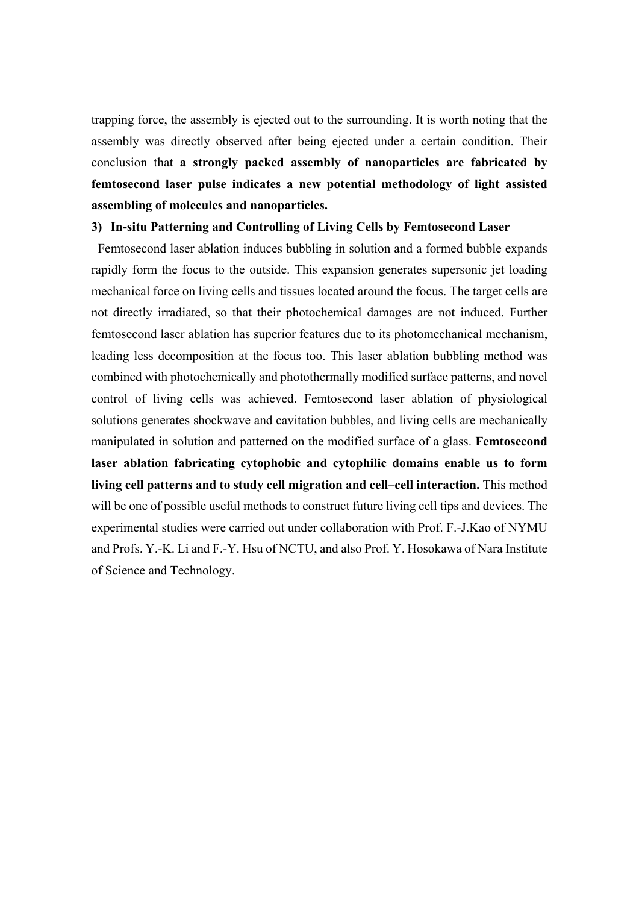trapping force, the assembly is ejected out to the surrounding. It is worth noting that the assembly was directly observed after being ejected under a certain condition. Their conclusion that **a strongly packed assembly of nanoparticles are fabricated by femtosecond laser pulse indicates a new potential methodology of light assisted assembling of molecules and nanoparticles.**

#### **3) In-situ Patterning and Controlling of Living Cells by Femtosecond Laser**

Femtosecond laser ablation induces bubbling in solution and a formed bubble expands rapidly form the focus to the outside. This expansion generates supersonic jet loading mechanical force on living cells and tissues located around the focus. The target cells are not directly irradiated, so that their photochemical damages are not induced. Further femtosecond laser ablation has superior features due to its photomechanical mechanism, leading less decomposition at the focus too. This laser ablation bubbling method was combined with photochemically and photothermally modified surface patterns, and novel control of living cells was achieved. Femtosecond laser ablation of physiological solutions generates shockwave and cavitation bubbles, and living cells are mechanically manipulated in solution and patterned on the modified surface of a glass. **Femtosecond laser ablation fabricating cytophobic and cytophilic domains enable us to form living cell patterns and to study cell migration and cell–cell interaction.** This method will be one of possible useful methods to construct future living cell tips and devices. The experimental studies were carried out under collaboration with Prof. F.-J.Kao of NYMU and Profs. Y.-K. Li and F.-Y. Hsu of NCTU, and also Prof. Y. Hosokawa of Nara Institute of Science and Technology.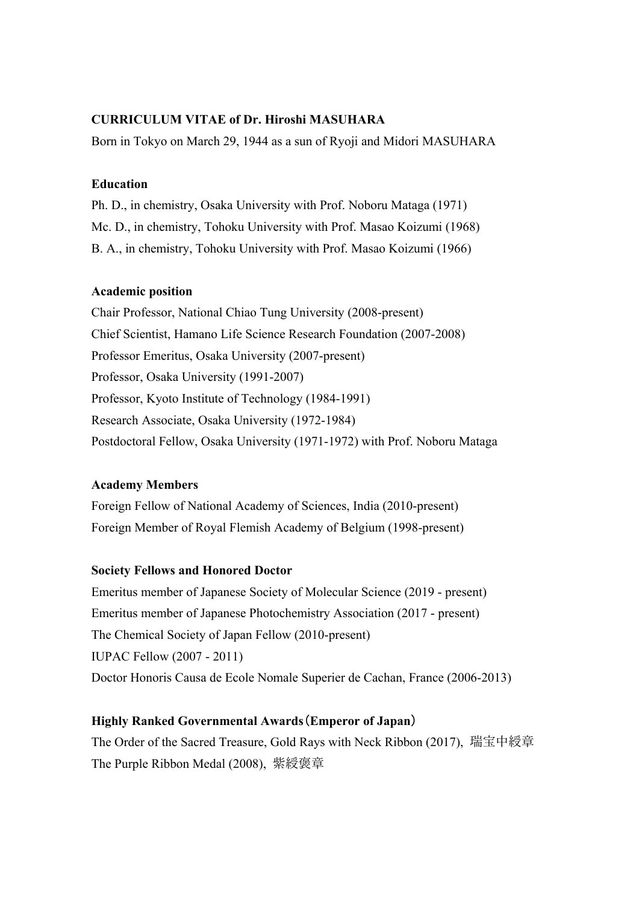## **CURRICULUM VITAE of Dr. Hiroshi MASUHARA**

Born in Tokyo on March 29, 1944 as a sun of Ryoji and Midori MASUHARA

## **Education**

Ph. D., in chemistry, Osaka University with Prof. Noboru Mataga (1971) Mc. D., in chemistry, Tohoku University with Prof. Masao Koizumi (1968) B. A., in chemistry, Tohoku University with Prof. Masao Koizumi (1966)

### **Academic position**

Chair Professor, National Chiao Tung University (2008-present) Chief Scientist, Hamano Life Science Research Foundation (2007-2008) Professor Emeritus, Osaka University (2007-present) Professor, Osaka University (1991-2007) Professor, Kyoto Institute of Technology (1984-1991) Research Associate, Osaka University (1972-1984) Postdoctoral Fellow, Osaka University (1971-1972) with Prof. Noboru Mataga

## **Academy Members**

Foreign Fellow of National Academy of Sciences, India (2010-present) Foreign Member of Royal Flemish Academy of Belgium (1998-present)

## **Society Fellows and Honored Doctor**

Emeritus member of Japanese Society of Molecular Science (2019 - present) Emeritus member of Japanese Photochemistry Association (2017 - present) The Chemical Society of Japan Fellow (2010-present) IUPAC Fellow (2007 - 2011) Doctor Honoris Causa de Ecole Nomale Superier de Cachan, France (2006-2013)

## **Highly Ranked Governmental Awards**(**Emperor of Japan**)

The Order of the Sacred Treasure, Gold Rays with Neck Ribbon (2017), 瑞宝中綬章 The Purple Ribbon Medal (2008), 紫綬褒章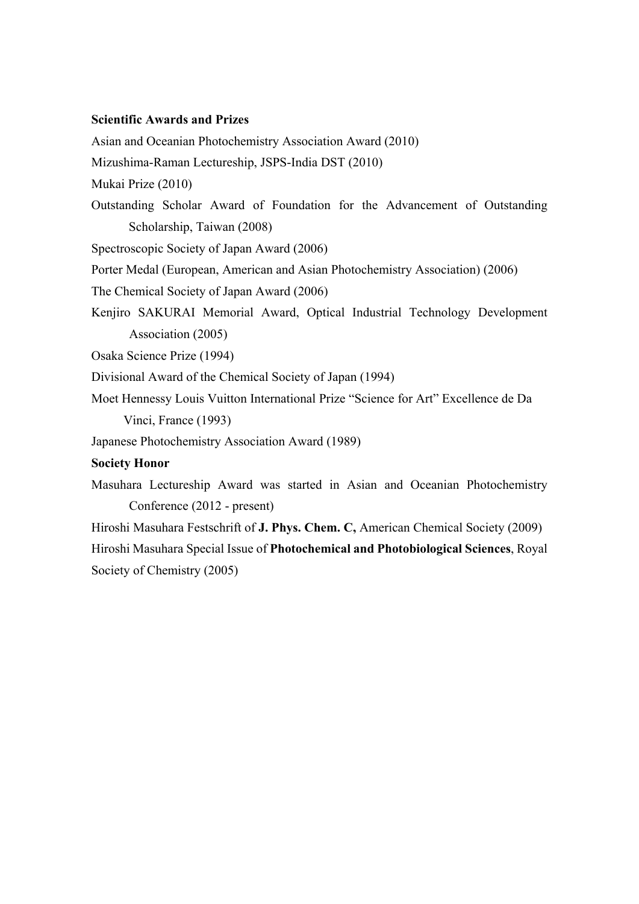#### **Scientific Awards and Prizes**

Asian and Oceanian Photochemistry Association Award (2010)

Mizushima-Raman Lectureship, JSPS-India DST (2010)

Mukai Prize (2010)

Outstanding Scholar Award of Foundation for the Advancement of Outstanding Scholarship, Taiwan (2008)

Spectroscopic Society of Japan Award (2006)

Porter Medal (European, American and Asian Photochemistry Association) (2006)

The Chemical Society of Japan Award (2006)

Kenjiro SAKURAI Memorial Award, Optical Industrial Technology Development Association (2005)

Osaka Science Prize (1994)

Divisional Award of the Chemical Society of Japan (1994)

Moet Hennessy Louis Vuitton International Prize "Science for Art" Excellence de Da Vinci, France (1993)

Japanese Photochemistry Association Award (1989)

### **Society Honor**

Masuhara Lectureship Award was started in Asian and Oceanian Photochemistry Conference (2012 - present)

Hiroshi Masuhara Festschrift of **J. Phys. Chem. C,** American Chemical Society (2009) Hiroshi Masuhara Special Issue of **Photochemical and Photobiological Sciences**, Royal Society of Chemistry (2005)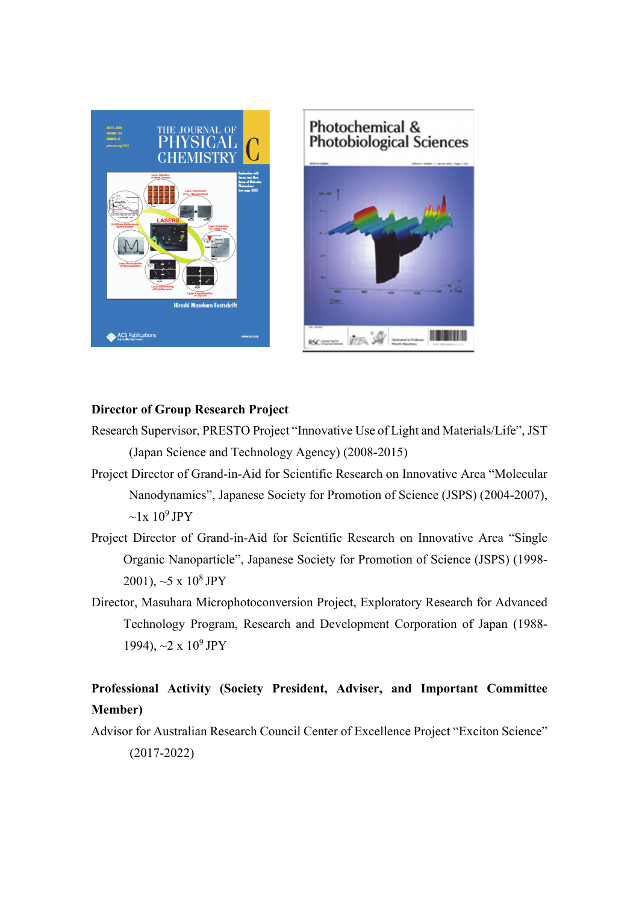

# Photochemical & **Photobiological Sciences**



## **Director of Group Research Project**

- Research Supervisor, PRESTO Project "Innovative Use of Light and Materials/Life", JST (Japan Science and Technology Agency) (2008-2015)
- Project Director of Grand-in-Aid for Scientific Research on Innovative Area "Molecular Nanodynamics", Japanese Society for Promotion of Science (JSPS) (2004-2007),  $\sim$ 1x 10<sup>9</sup> JPY
- Project Director of Grand-in-Aid for Scientific Research on Innovative Area "Single Organic Nanoparticle", Japanese Society for Promotion of Science (JSPS) (1998- 2001),  $\sim$  5 x 10<sup>8</sup> JPY
- Director, Masuhara Microphotoconversion Project, Exploratory Research for Advanced Technology Program, Research and Development Corporation of Japan (1988- 1994),  $\sim$ 2 x 10<sup>9</sup> JPY

## **Professional Activity (Society President, Adviser, and Important Committee Member)**

Advisor for Australian Research Council Center of Excellence Project "Exciton Science" (2017-2022)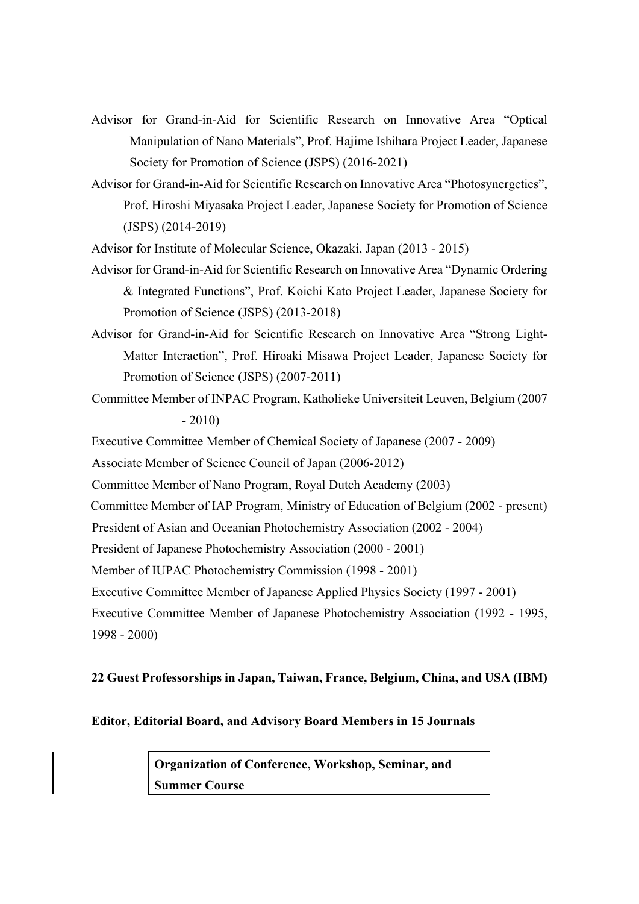- Advisor for Grand-in-Aid for Scientific Research on Innovative Area "Optical Manipulation of Nano Materials", Prof. Hajime Ishihara Project Leader, Japanese Society for Promotion of Science (JSPS) (2016-2021)
- Advisor for Grand-in-Aid for Scientific Research on Innovative Area "Photosynergetics", Prof. Hiroshi Miyasaka Project Leader, Japanese Society for Promotion of Science (JSPS) (2014-2019)

Advisor for Institute of Molecular Science, Okazaki, Japan (2013 - 2015)

- Advisor for Grand-in-Aid for Scientific Research on Innovative Area "Dynamic Ordering & Integrated Functions", Prof. Koichi Kato Project Leader, Japanese Society for Promotion of Science (JSPS) (2013-2018)
- Advisor for Grand-in-Aid for Scientific Research on Innovative Area "Strong Light-Matter Interaction", Prof. Hiroaki Misawa Project Leader, Japanese Society for Promotion of Science (JSPS) (2007-2011)
- Committee Member of INPAC Program, Katholieke Universiteit Leuven, Belgium (2007  $-2010$

Executive Committee Member of Chemical Society of Japanese (2007 - 2009)

Associate Member of Science Council of Japan (2006-2012)

Committee Member of Nano Program, Royal Dutch Academy (2003)

Committee Member of IAP Program, Ministry of Education of Belgium (2002 - present)

President of Asian and Oceanian Photochemistry Association (2002 - 2004)

- President of Japanese Photochemistry Association (2000 2001)
- Member of IUPAC Photochemistry Commission (1998 2001)

Executive Committee Member of Japanese Applied Physics Society (1997 - 2001)

Executive Committee Member of Japanese Photochemistry Association (1992 - 1995, 1998 - 2000)

#### **22 Guest Professorships in Japan, Taiwan, France, Belgium, China, and USA (IBM)**

## **Editor, Editorial Board, and Advisory Board Members in 15 Journals**

**Organization of Conference, Workshop, Seminar, and Summer Course**